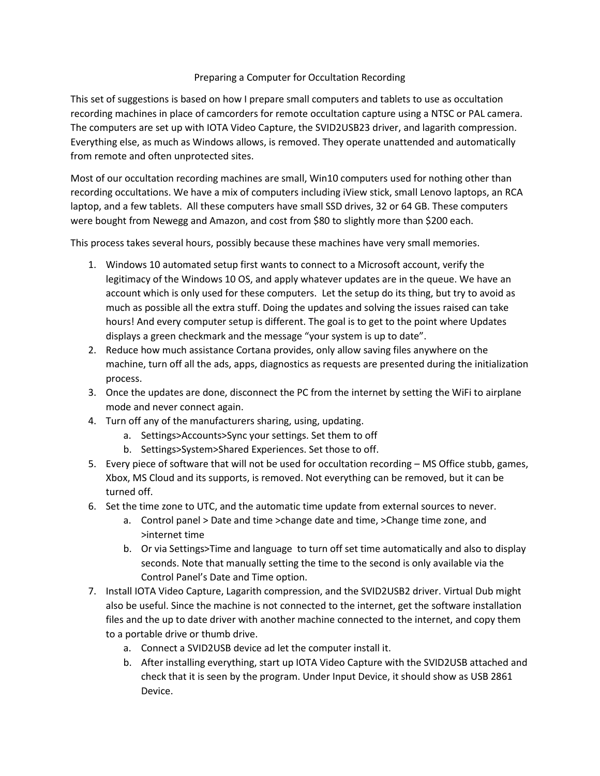## Preparing a Computer for Occultation Recording

This set of suggestions is based on how I prepare small computers and tablets to use as occultation recording machines in place of camcorders for remote occultation capture using a NTSC or PAL camera. The computers are set up with IOTA Video Capture, the SVID2USB23 driver, and lagarith compression. Everything else, as much as Windows allows, is removed. They operate unattended and automatically from remote and often unprotected sites.

Most of our occultation recording machines are small, Win10 computers used for nothing other than recording occultations. We have a mix of computers including iView stick, small Lenovo laptops, an RCA laptop, and a few tablets. All these computers have small SSD drives, 32 or 64 GB. These computers were bought from Newegg and Amazon, and cost from \$80 to slightly more than \$200 each.

This process takes several hours, possibly because these machines have very small memories.

- 1. Windows 10 automated setup first wants to connect to a Microsoft account, verify the legitimacy of the Windows 10 OS, and apply whatever updates are in the queue. We have an account which is only used for these computers. Let the setup do its thing, but try to avoid as much as possible all the extra stuff. Doing the updates and solving the issues raised can take hours! And every computer setup is different. The goal is to get to the point where Updates displays a green checkmark and the message "your system is up to date".
- 2. Reduce how much assistance Cortana provides, only allow saving files anywhere on the machine, turn off all the ads, apps, diagnostics as requests are presented during the initialization process.
- 3. Once the updates are done, disconnect the PC from the internet by setting the WiFi to airplane mode and never connect again.
- 4. Turn off any of the manufacturers sharing, using, updating.
	- a. Settings>Accounts>Sync your settings. Set them to off
	- b. Settings>System>Shared Experiences. Set those to off.
- 5. Every piece of software that will not be used for occultation recording MS Office stubb, games, Xbox, MS Cloud and its supports, is removed. Not everything can be removed, but it can be turned off.
- 6. Set the time zone to UTC, and the automatic time update from external sources to never.
	- a. Control panel > Date and time >change date and time, >Change time zone, and >internet time
	- b. Or via Settings>Time and language to turn off set time automatically and also to display seconds. Note that manually setting the time to the second is only available via the Control Panel's Date and Time option.
- 7. Install IOTA Video Capture, Lagarith compression, and the SVID2USB2 driver. Virtual Dub might also be useful. Since the machine is not connected to the internet, get the software installation files and the up to date driver with another machine connected to the internet, and copy them to a portable drive or thumb drive.
	- a. Connect a SVID2USB device ad let the computer install it.
	- b. After installing everything, start up IOTA Video Capture with the SVID2USB attached and check that it is seen by the program. Under Input Device, it should show as USB 2861 Device.